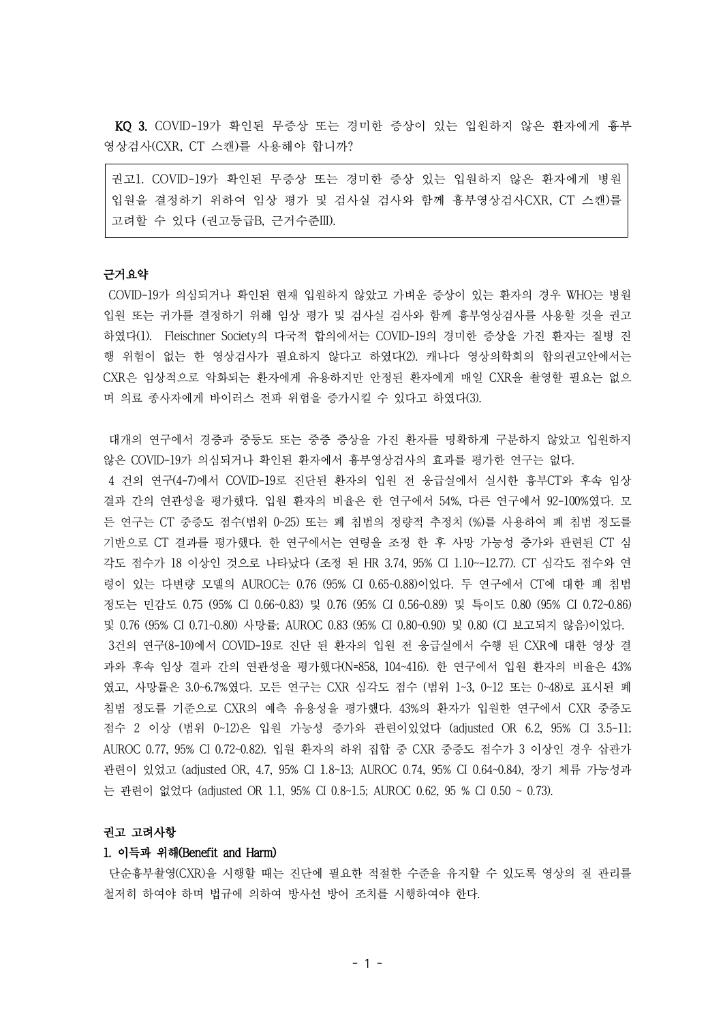KQ 3. COVID-19가 확인된 무증상 또는 경미한 증상이 있는 입원하지 않은 환자에게 흉부 영상검사(CXR, CT 스캔)를 사용해야 합니까?

권고1. COVID-19가 확인된 무증상 또는 경미한 증상 있는 입원하지 않은 환자에게 병원 입원을 결정하기 위하여 임상 평가 및 검사실 검사와 함께 흉부영상검사CXR, CT 스캔)를 고려할 수 있다 (권고등급B, 근거수준III).

#### 근거요약

COVID-19가 의심되거나 확인된 현재 입원하지 않았고 가벼운 증상이 있는 환자의 경우 WHO는 병원 입원 또는 귀가를 결정하기 위해 임상 평가 및 검사실 검사와 함께 흉부영상검사를 사용할 것을 권고 하였다(1). Fleischner Society의 다국적 합의에서는 COVID-19의 경미한 증상을 가진 환자는 질병 진 행 위험이 없는 한 영상검사가 필요하지 않다고 하였다(2). 캐나다 영상의학회의 합의권고안에서는 CXR은 임상적으로 악화되는 환자에게 유용하지만 안정된 환자에게 매일 CXR을 촬영할 필요는 없으 며 의료 종사자에게 바이러스 전파 위험을 증가시킬 수 있다고 하였다(3).

대개의 연구에서 경증과 중등도 또는 중증 증상을 가진 환자를 명확하게 구분하지 않았고 입원하지 않은 COVID-19가 의심되거나 확인된 환자에서 흉부영상검사의 효과를 평가한 연구는 없다.

4 건의 연구(4-7)에서 COVID-19로 진단된 환자의 입원 전 응급실에서 실시한 흉부CT와 후속 임상 결과 간의 연관성을 평가했다. 입원 환자의 비율은 한 연구에서 54%, 다른 연구에서 92-100%였다. 모 든 연구는 CT 중증도 점수(범위 0~25) 또는 폐 침범의 정량적 추정치 (%)를 사용하여 폐 침범 정도를 기반으로 CT 결과를 평가했다. 한 연구에서는 연령을 조정 한 후 사망 가능성 증가와 관련된 CT 심 각도 점수가 18 이상인 것으로 나타났다 (조정 된 HR 3.74, 95% CI 1.10~-12.77). CT 심각도 점수와 연 령이 있는 다변량 모델의 AUROC는 0.76 (95% CI 0.65~0.88)이었다. 두 연구에서 CT에 대한 폐 침범 정도는 민감도 0.75 (95% CI 0.66~0.83) 및 0.76 (95% CI 0.56~0.89) 및 특이도 0.80 (95% CI 0.72~0.86) 및 0.76 (95% CI 0.71~0.80) 사망률; AUROC 0.83 (95% CI 0.80~0.90) 및 0.80 (CI 보고되지 않음)이었다. 3건의 연구(8-10)에서 COVID-19로 진단 된 환자의 입원 전 응급실에서 수행 된 CXR에 대한 영상 결 과와 후속 임상 결과 간의 연관성을 평가했다(N=858, 104~416). 한 연구에서 입원 환자의 비율은 43% 였고, 사망률은 3.0~6.7%였다. 모든 연구는 CXR 심각도 점수 (범위 1~3, 0~12 또는 0~48)로 표시된 폐 침범 정도를 기준으로 CXR의 예측 유용성을 평가했다. 43%의 환자가 입원한 연구에서 CXR 중증도 점수 2 이상 (범위 0~12)은 입원 가능성 증가와 관련이있었다 (adjusted OR 6.2, 95% CI 3.5-11; AUROC 0.77, 95% CI 0.72~0.82). 입원 환자의 하위 집합 중 CXR 중증도 점수가 3 이상인 경우 삽관가 관련이 있었고 (adjusted OR, 4.7, 95% CI 1.8~13; AUROC 0.74, 95% CI 0.64~0.84), 장기 체류 가능성과 는 관련이 없었다 (adjusted OR 1.1, 95% CI 0.8~1.5; AUROC 0.62, 95 % CI 0.50 ~ 0.73).

#### 권고 고려사항

#### 1. 이득과 위해(Benefit and Harm)

단순흉부촬영(CXR)을 시행할 때는 진단에 필요한 적절한 수준을 유지할 수 있도록 영상의 질 관리를 철저히 하여야 하며 법규에 의하여 방사선 방어 조치를 시행하여야 한다.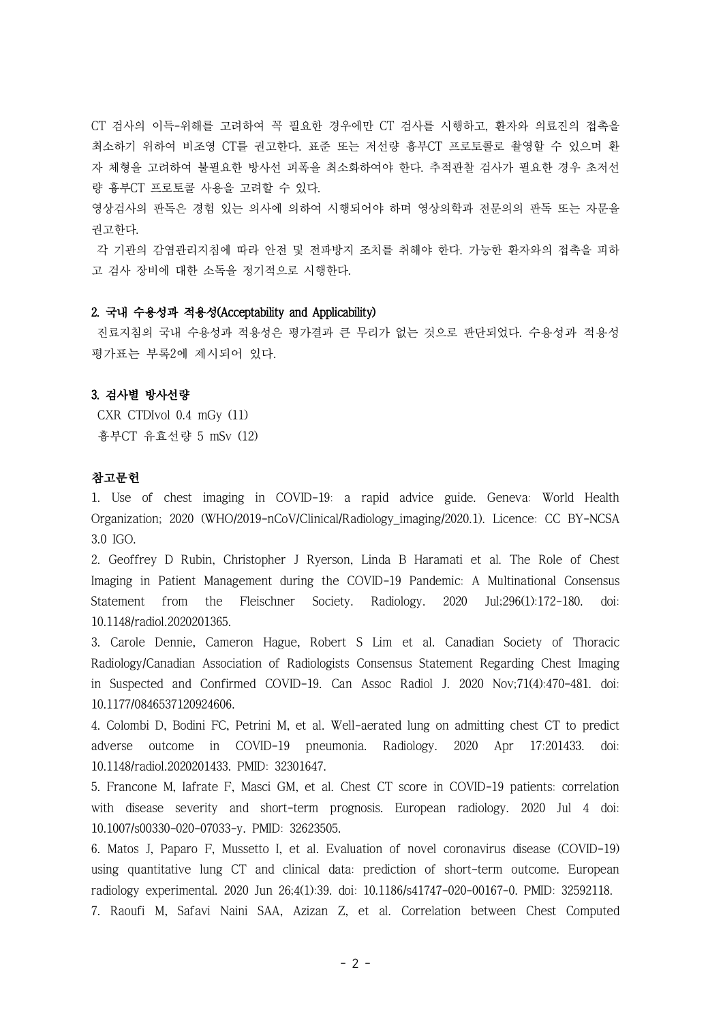CT 검사의 이득-위해를 고려하여 꼭 필요한 경우에만 CT 검사를 시행하고, 환자와 의료진의 접촉을 최소하기 위하여 비조영 CT를 권고한다. 표준 또는 저선량 흉부CT 프로토콜로 촬영할 수 있으며 환 자 체형을 고려하여 불필요한 방사선 피폭을 최소화하여야 한다. 추적관찰 검사가 필요한 경우 초저선 량 흉부CT 프로토콜 사용을 고려할 수 있다.

영상검사의 판독은 경험 있는 의사에 의하여 시행되어야 하며 영상의학과 전문의의 판독 또는 자문을 권고한다.

각 기관의 감염관리지침에 따라 안전 및 전파방지 조치를 취해야 한다. 가능한 환자와의 접촉을 피하 고 검사 장비에 대한 소독을 정기적으로 시행한다.

## 2. 국내 수용성과 적용성(Acceptability and Applicability)

진료지침의 국내 수용성과 적용성은 평가결과 큰 무리가 없는 것으로 판단되었다. 수용성과 적용성 평가표는 부록2에 제시되어 있다.

## 3. 검사별 방사선량

CXR CTDIvol 0.4 mGy (11) 흉부CT 유효선량 5 mSv (12)

# 참고문헌

1. Use of chest imaging in COVID-19: a rapid advice guide. Geneva: World Health Organization; 2020 (WHO/2019-nCoV/Clinical/Radiology\_imaging/2020.1). Licence: CC BY-NCSA 3.0 IGO.

2. Geoffrey D Rubin, Christopher J Ryerson, Linda B Haramati et al. The Role of Chest Imaging in Patient Management during the COVID-19 Pandemic: A Multinational Consensus Statement from the Fleischner Society. Radiology. 2020 Jul;296(1):172-180. doi: 10.1148/radiol.2020201365.

3. Carole Dennie, Cameron Hague, Robert S Lim et al. Canadian Society of Thoracic Radiology/Canadian Association of Radiologists Consensus Statement Regarding Chest Imaging in Suspected and Confirmed COVID-19. Can Assoc Radiol J. 2020 Nov;71(4):470-481. doi: 10.1177/0846537120924606.

4. Colombi D, Bodini FC, Petrini M, et al. Well-aerated lung on admitting chest CT to predict adverse outcome in COVID-19 pneumonia. Radiology. 2020 Apr 17:201433. doi: 10.1148/radiol.2020201433. PMID: 32301647.

5. Francone M, Iafrate F, Masci GM, et al. Chest CT score in COVID-19 patients: correlation with disease severity and short-term prognosis. European radiology. 2020 Jul 4 doi: 10.1007/s00330-020-07033-y. PMID: 32623505.

6. Matos J, Paparo F, Mussetto I, et al. Evaluation of novel coronavirus disease (COVID-19) using quantitative lung CT and clinical data: prediction of short-term outcome. European radiology experimental. 2020 Jun 26;4(1):39. doi: 10.1186/s41747-020-00167-0. PMID: 32592118. 7. Raoufi M, Safavi Naini SAA, Azizan Z, et al. Correlation between Chest Computed